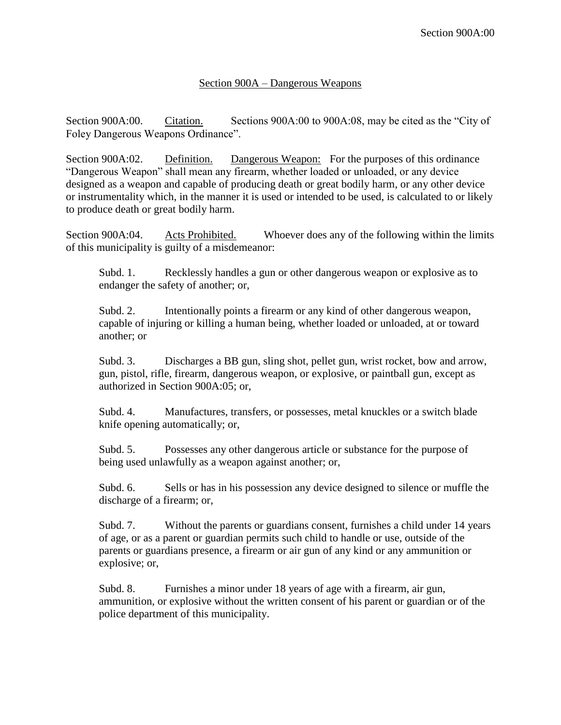## Section 900A – Dangerous Weapons

Section 900A:00. Citation. Sections 900A:00 to 900A:08, may be cited as the "City of Foley Dangerous Weapons Ordinance".

Section 900A:02. Definition. Dangerous Weapon: For the purposes of this ordinance "Dangerous Weapon" shall mean any firearm, whether loaded or unloaded, or any device designed as a weapon and capable of producing death or great bodily harm, or any other device or instrumentality which, in the manner it is used or intended to be used, is calculated to or likely to produce death or great bodily harm.

Section 900A:04. Acts Prohibited. Whoever does any of the following within the limits of this municipality is guilty of a misdemeanor:

Subd. 1. Recklessly handles a gun or other dangerous weapon or explosive as to endanger the safety of another; or,

Subd. 2. Intentionally points a firearm or any kind of other dangerous weapon, capable of injuring or killing a human being, whether loaded or unloaded, at or toward another; or

Subd. 3. Discharges a BB gun, sling shot, pellet gun, wrist rocket, bow and arrow, gun, pistol, rifle, firearm, dangerous weapon, or explosive, or paintball gun, except as authorized in Section 900A:05; or,

Subd. 4. Manufactures, transfers, or possesses, metal knuckles or a switch blade knife opening automatically; or,

Subd. 5. Possesses any other dangerous article or substance for the purpose of being used unlawfully as a weapon against another; or,

Subd. 6. Sells or has in his possession any device designed to silence or muffle the discharge of a firearm; or,

Subd. 7. Without the parents or guardians consent, furnishes a child under 14 years of age, or as a parent or guardian permits such child to handle or use, outside of the parents or guardians presence, a firearm or air gun of any kind or any ammunition or explosive; or,

Subd. 8. Furnishes a minor under 18 years of age with a firearm, air gun, ammunition, or explosive without the written consent of his parent or guardian or of the police department of this municipality.